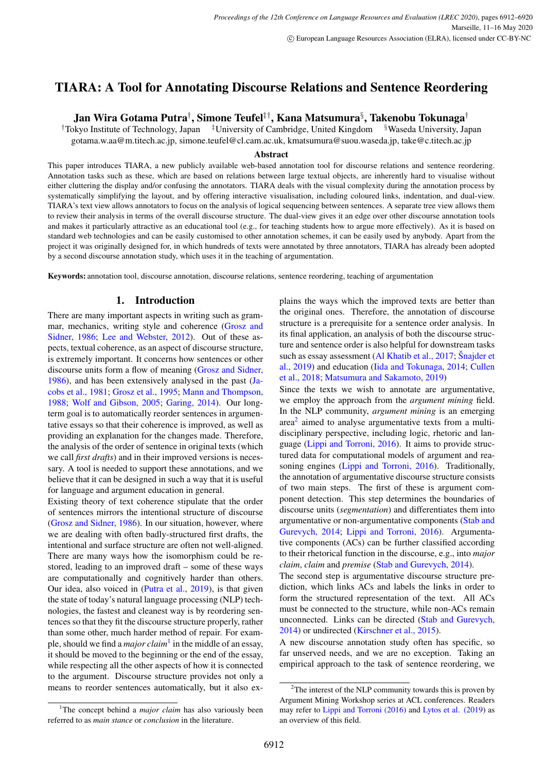# TIARA: A Tool for Annotating Discourse Relations and Sentence Reordering

# Jan Wira Gotama Putra†, Simone Teufel‡†, Kana Matsumura $\S$ , Takenobu Tokunaga†

†Tokyo Institute of Technology, Japan ‡University of Cambridge, United Kingdom §Waseda University, Japan

gotama.w.aa@m.titech.ac.jp, simone.teufel@cl.cam.ac.uk, kmatsumura@suou.waseda.jp, take@c.titech.ac.jp

# Abstract

This paper introduces TIARA, a new publicly available web-based annotation tool for discourse relations and sentence reordering. Annotation tasks such as these, which are based on relations between large textual objects, are inherently hard to visualise without either cluttering the display and/or confusing the annotators. TIARA deals with the visual complexity during the annotation process by systematically simplifying the layout, and by offering interactive visualisation, including coloured links, indentation, and dual-view. TIARA's text view allows annotators to focus on the analysis of logical sequencing between sentences. A separate tree view allows them to review their analysis in terms of the overall discourse structure. The dual-view gives it an edge over other discourse annotation tools and makes it particularly attractive as an educational tool (e.g., for teaching students how to argue more effectively). As it is based on standard web technologies and can be easily customised to other annotation schemes, it can be easily used by anybody. Apart from the project it was originally designed for, in which hundreds of texts were annotated by three annotators, TIARA has already been adopted by a second discourse annotation study, which uses it in the teaching of argumentation.

Keywords: annotation tool, discourse annotation, discourse relations, sentence reordering, teaching of argumentation

# 1. Introduction

<span id="page-0-2"></span>There are many important aspects in writing such as grammar, mechanics, writing style and coherence [\(Grosz and](#page-7-0) [Sidner, 1986;](#page-7-0) [Lee and Webster, 2012\)](#page-7-1). Out of these aspects, textual coherence, as an aspect of discourse structure, is extremely important. It concerns how sentences or other discourse units form a flow of meaning [\(Grosz and Sidner,](#page-7-0) [1986\)](#page-7-0), and has been extensively analysed in the past [\(Ja](#page-7-2)[cobs et al., 1981;](#page-7-2) [Grosz et al., 1995;](#page-7-3) [Mann and Thompson,](#page-7-4) [1988;](#page-7-4) [Wolf and Gibson, 2005;](#page-8-0) [Garing, 2014\)](#page-7-5). Our longterm goal is to automatically reorder sentences in argumentative essays so that their coherence is improved, as well as providing an explanation for the changes made. Therefore, the analysis of the order of sentence in original texts (which we call *first drafts*) and in their improved versions is necessary. A tool is needed to support these annotations, and we believe that it can be designed in such a way that it is useful for language and argument education in general.

Existing theory of text coherence stipulate that the order of sentences mirrors the intentional structure of discourse [\(Grosz and Sidner, 1986\)](#page-7-0). In our situation, however, where we are dealing with often badly-structured first drafts, the intentional and surface structure are often not well-aligned. There are many ways how the isomorphism could be restored, leading to an improved draft – some of these ways are computationally and cognitively harder than others. Our idea, also voiced in [\(Putra et al., 2019\)](#page-8-1), is that given the state of today's natural language processing (NLP) technologies, the fastest and cleanest way is by reordering sentences so that they fit the discourse structure properly, rather than some other, much harder method of repair. For example, should we find a *major claim*[1](#page-0-0) in the middle of an essay, it should be moved to the beginning or the end of the essay, while respecting all the other aspects of how it is connected to the argument. Discourse structure provides not only a means to reorder sentences automatically, but it also explains the ways which the improved texts are better than the original ones. Therefore, the annotation of discourse structure is a prerequisite for a sentence order analysis. In its final application, an analysis of both the discourse structure and sentence order is also helpful for downstream tasks such as essay assessment [\(Al Khatib et al., 2017;](#page-7-6) [Snajder et](#page-8-2) [al., 2019\)](#page-8-2) and education [\(Iida and Tokunaga, 2014;](#page-7-7) [Cullen](#page-7-8) [et al., 2018;](#page-7-8) [Matsumura and Sakamoto, 2019\)](#page-7-9)

Since the texts we wish to annotate are argumentative, we employ the approach from the *argument mining* field. In the NLP community, *argument mining* is an emerging area<sup>[2](#page-0-1)</sup> aimed to analyse argumentative texts from a multidisciplinary perspective, including logic, rhetoric and language [\(Lippi and Torroni, 2016\)](#page-7-10). It aims to provide structured data for computational models of argument and rea-soning engines [\(Lippi and Torroni, 2016\)](#page-7-10). Traditionally, the annotation of argumentative discourse structure consists of two main steps. The first of these is argument component detection. This step determines the boundaries of discourse units (*segmentation*) and differentiates them into argumentative or non-argumentative components [\(Stab and](#page-8-3) [Gurevych, 2014;](#page-8-3) [Lippi and Torroni, 2016\)](#page-7-10). Argumentative components (ACs) can be further classified according to their rhetorical function in the discourse, e.g., into *major claim*, *claim* and *premise* [\(Stab and Gurevych, 2014\)](#page-8-3).

The second step is argumentative discourse structure prediction, which links ACs and labels the links in order to form the structured representation of the text. All ACs must be connected to the structure, while non-ACs remain unconnected. Links can be directed [\(Stab and Gurevych,](#page-8-3) [2014\)](#page-8-3) or undirected [\(Kirschner et al., 2015\)](#page-7-11).

A new discourse annotation study often has specific, so far unserved needs, and we are no exception. Taking an empirical approach to the task of sentence reordering, we

<span id="page-0-1"></span> $2$ The interest of the NLP community towards this is proven by Argument Mining Workshop series at ACL conferences. Readers may refer to [Lippi and Torroni \(2016\)](#page-7-10) and [Lytos et al. \(2019\)](#page-7-12) as an overview of this field.

<span id="page-0-0"></span><sup>&</sup>lt;sup>1</sup>The concept behind a *major claim* has also variously been referred to as *main stance* or *conclusion* in the literature.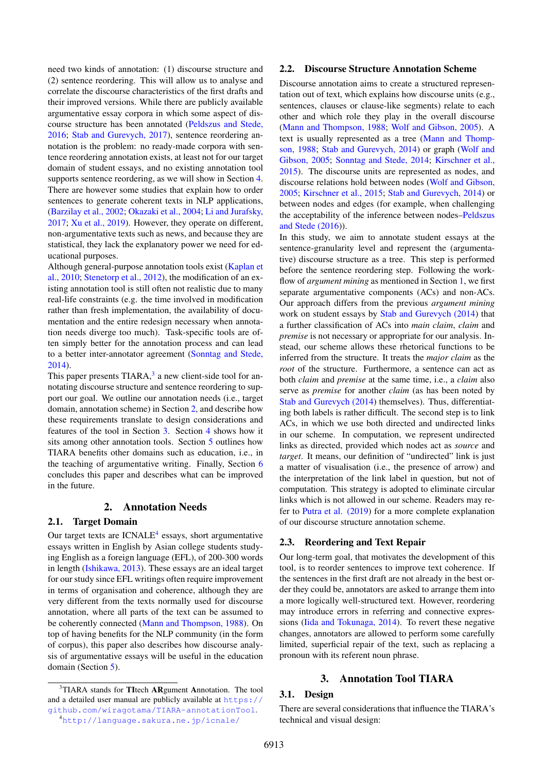need two kinds of annotation: (1) discourse structure and (2) sentence reordering. This will allow us to analyse and correlate the discourse characteristics of the first drafts and their improved versions. While there are publicly available argumentative essay corpora in which some aspect of discourse structure has been annotated [\(Peldszus and Stede,](#page-7-13) [2016;](#page-7-13) [Stab and Gurevych, 2017\)](#page-8-4), sentence reordering annotation is the problem: no ready-made corpora with sentence reordering annotation exists, at least not for our target domain of student essays, and no existing annotation tool supports sentence reordering, as we will show in Section [4.](#page-4-0) There are however some studies that explain how to order sentences to generate coherent texts in NLP applications, [\(Barzilay et al., 2002;](#page-7-14) [Okazaki et al., 2004;](#page-7-15) [Li and Jurafsky,](#page-7-16) [2017;](#page-7-16) [Xu et al., 2019\)](#page-8-5). However, they operate on different, non-argumentative texts such as news, and because they are statistical, they lack the explanatory power we need for educational purposes.

Although general-purpose annotation tools exist [\(Kaplan et](#page-7-17) [al., 2010;](#page-7-17) [Stenetorp et al., 2012\)](#page-8-6), the modification of an existing annotation tool is still often not realistic due to many real-life constraints (e.g. the time involved in modification rather than fresh implementation, the availability of documentation and the entire redesign necessary when annotation needs diverge too much). Task-specific tools are often simply better for the annotation process and can lead to a better inter-annotator agreement [\(Sonntag and Stede,](#page-8-7) [2014\)](#page-8-7).

This paper presents TIARA,<sup>[3](#page-1-0)</sup> a new client-side tool for annotating discourse structure and sentence reordering to support our goal. We outline our annotation needs (i.e., target domain, annotation scheme) in Section [2,](#page-1-1) and describe how these requirements translate to design considerations and features of the tool in Section [3.](#page-1-2) Section [4](#page-4-0) shows how it sits among other annotation tools. Section [5](#page-6-0) outlines how TIARA benefits other domains such as education, i.e., in the teaching of argumentative writing. Finally, Section [6](#page-6-1) concludes this paper and describes what can be improved in the future.

# 2. Annotation Needs

# <span id="page-1-1"></span>2.1. Target Domain

Our target texts are  $ICNALE<sup>4</sup>$  $ICNALE<sup>4</sup>$  $ICNALE<sup>4</sup>$  essays, short argumentative essays written in English by Asian college students studying English as a foreign language (EFL), of 200-300 words in length [\(Ishikawa, 2013\)](#page-7-18). These essays are an ideal target for our study since EFL writings often require improvement in terms of organisation and coherence, although they are very different from the texts normally used for discourse annotation, where all parts of the text can be assumed to be coherently connected [\(Mann and Thompson, 1988\)](#page-7-4). On top of having benefits for the NLP community (in the form of corpus), this paper also describes how discourse analysis of argumentative essays will be useful in the education domain (Section [5\)](#page-6-0).

## 3. Annotation Tool TIARA

#### <span id="page-1-5"></span><span id="page-1-2"></span>3.1. Design

There are several considerations that influence the TIARA's technical and visual design:

#### <span id="page-1-4"></span>2.2. Discourse Structure Annotation Scheme

Discourse annotation aims to create a structured representation out of text, which explains how discourse units (e.g., sentences, clauses or clause-like segments) relate to each other and which role they play in the overall discourse [\(Mann and Thompson, 1988;](#page-7-4) [Wolf and Gibson, 2005\)](#page-8-0). A text is usually represented as a tree [\(Mann and Thomp](#page-7-4)[son, 1988;](#page-7-4) [Stab and Gurevych, 2014\)](#page-8-3) or graph [\(Wolf and](#page-8-0) [Gibson, 2005;](#page-8-0) [Sonntag and Stede, 2014;](#page-8-7) [Kirschner et al.,](#page-7-11) [2015\)](#page-7-11). The discourse units are represented as nodes, and discourse relations hold between nodes [\(Wolf and Gibson,](#page-8-0) [2005;](#page-8-0) [Kirschner et al., 2015;](#page-7-11) [Stab and Gurevych, 2014\)](#page-8-3) or between nodes and edges (for example, when challenging the acceptability of the inference between nodes[–Peldszus](#page-7-13) [and Stede \(2016\)](#page-7-13)).

In this study, we aim to annotate student essays at the sentence-granularity level and represent the (argumentative) discourse structure as a tree. This step is performed before the sentence reordering step. Following the workflow of *argument mining* as mentioned in Section [1,](#page-0-2) we first separate argumentative components (ACs) and non-ACs. Our approach differs from the previous *argument mining* work on student essays by [Stab and Gurevych \(2014\)](#page-8-3) that a further classification of ACs into *main claim*, *claim* and *premise* is not necessary or appropriate for our analysis. Instead, our scheme allows these rhetorical functions to be inferred from the structure. It treats the *major claim* as the *root* of the structure. Furthermore, a sentence can act as both *claim* and *premise* at the same time, i.e., a *claim* also serve as *premise* for another *claim* (as has been noted by [Stab and Gurevych \(2014\)](#page-8-3) themselves). Thus, differentiating both labels is rather difficult. The second step is to link ACs, in which we use both directed and undirected links in our scheme. In computation, we represent undirected links as directed, provided which nodes act as *source* and *target*. It means, our definition of "undirected" link is just a matter of visualisation (i.e., the presence of arrow) and the interpretation of the link label in question, but not of computation. This strategy is adopted to eliminate circular links which is not allowed in our scheme. Readers may refer to [Putra et al. \(2019\)](#page-8-1) for a more complete explanation of our discourse structure annotation scheme.

# 2.3. Reordering and Text Repair

Our long-term goal, that motivates the development of this tool, is to reorder sentences to improve text coherence. If the sentences in the first draft are not already in the best order they could be, annotators are asked to arrange them into a more logically well-structured text. However, reordering may introduce errors in referring and connective expressions [\(Iida and Tokunaga, 2014\)](#page-7-7). To revert these negative changes, annotators are allowed to perform some carefully limited, superficial repair of the text, such as replacing a pronoun with its referent noun phrase.

<span id="page-1-3"></span><span id="page-1-0"></span><sup>&</sup>lt;sup>3</sup>TIARA stands for TItech ARgument Annotation. The tool and a detailed user manual are publicly available at [https://](https://github.com/wiragotama/TIARA-annotationTool) [github.com/wiragotama/TIARA-annotationTool](https://github.com/wiragotama/TIARA-annotationTool). <sup>4</sup><http://language.sakura.ne.jp/icnale/>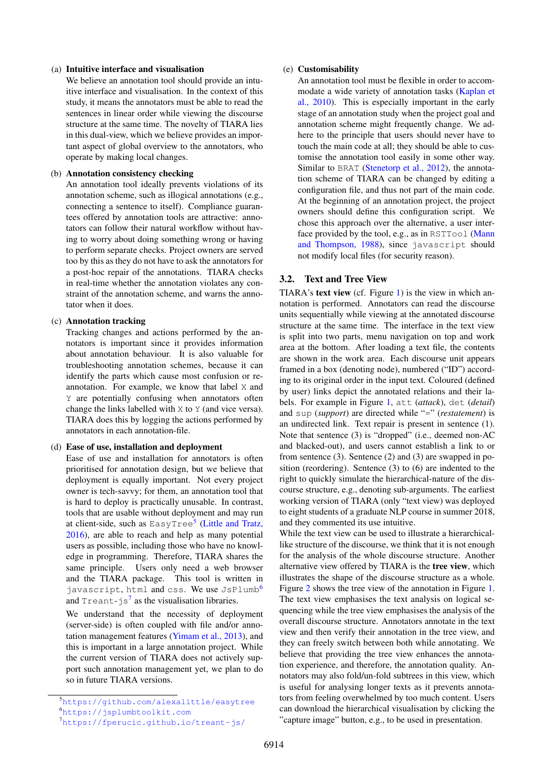#### (a) Intuitive interface and visualisation

We believe an annotation tool should provide an intuitive interface and visualisation. In the context of this study, it means the annotators must be able to read the sentences in linear order while viewing the discourse structure at the same time. The novelty of TIARA lies in this dual-view, which we believe provides an important aspect of global overview to the annotators, who operate by making local changes.

#### (b) Annotation consistency checking

An annotation tool ideally prevents violations of its annotation scheme, such as illogical annotations (e.g., connecting a sentence to itself). Compliance guarantees offered by annotation tools are attractive: annotators can follow their natural workflow without having to worry about doing something wrong or having to perform separate checks. Project owners are served too by this as they do not have to ask the annotators for a post-hoc repair of the annotations. TIARA checks in real-time whether the annotation violates any constraint of the annotation scheme, and warns the annotator when it does.

# (c) Annotation tracking

Tracking changes and actions performed by the annotators is important since it provides information about annotation behaviour. It is also valuable for troubleshooting annotation schemes, because it can identify the parts which cause most confusion or reannotation. For example, we know that label X and Y are potentially confusing when annotators often change the links labelled with X to Y (and vice versa). TIARA does this by logging the actions performed by annotators in each annotation-file.

#### (d) Ease of use, installation and deployment

Ease of use and installation for annotators is often prioritised for annotation design, but we believe that deployment is equally important. Not every project owner is tech-savvy; for them, an annotation tool that is hard to deploy is practically unusable. In contrast, tools that are usable without deployment and may run at client-side, such as EasyTree<sup>[5](#page-2-0)</sup> [\(Little and Tratz,](#page-7-19) [2016\)](#page-7-19), are able to reach and help as many potential users as possible, including those who have no knowledge in programming. Therefore, TIARA shares the same principle. Users only need a web browser and the TIARA package. This tool is written in javascript, html and css. We use JsPlumb<sup>[6](#page-2-1)</sup> and Treant-js $^7$  $^7$  as the visualisation libraries.

We understand that the necessity of deployment (server-side) is often coupled with file and/or annotation management features [\(Yimam et al., 2013\)](#page-8-8), and this is important in a large annotation project. While the current version of TIARA does not actively support such annotation management yet, we plan to do so in future TIARA versions.

#### (e) Customisability

An annotation tool must be flexible in order to accommodate a wide variety of annotation tasks [\(Kaplan et](#page-7-17) [al., 2010\)](#page-7-17). This is especially important in the early stage of an annotation study when the project goal and annotation scheme might frequently change. We adhere to the principle that users should never have to touch the main code at all; they should be able to customise the annotation tool easily in some other way. Similar to BRAT [\(Stenetorp et al., 2012\)](#page-8-6), the annotation scheme of TIARA can be changed by editing a configuration file, and thus not part of the main code. At the beginning of an annotation project, the project owners should define this configuration script. We chose this approach over the alternative, a user inter-face provided by the tool, e.g., as in RSTTool [\(Mann](#page-7-4) [and Thompson, 1988\)](#page-7-4), since javascript should not modify local files (for security reason).

## <span id="page-2-3"></span>3.2. Text and Tree View

TIARA's text view (cf. Figure [1\)](#page-3-0) is the view in which annotation is performed. Annotators can read the discourse units sequentially while viewing at the annotated discourse structure at the same time. The interface in the text view is split into two parts, menu navigation on top and work area at the bottom. After loading a text file, the contents are shown in the work area. Each discourse unit appears framed in a box (denoting node), numbered ("ID") according to its original order in the input text. Coloured (defined by user) links depict the annotated relations and their labels. For example in Figure [1,](#page-3-0) att (*attack*), det (*detail*) and sup (*support*) are directed while "=" (*restatement*) is an undirected link. Text repair is present in sentence (1). Note that sentence (3) is "dropped" (i.e., deemed non-AC and blacked-out), and users cannot establish a link to or from sentence (3). Sentence (2) and (3) are swapped in position (reordering). Sentence (3) to (6) are indented to the right to quickly simulate the hierarchical-nature of the discourse structure, e.g., denoting sub-arguments. The earliest working version of TIARA (only "text view) was deployed to eight students of a graduate NLP course in summer 2018, and they commented its use intuitive.

While the text view can be used to illustrate a hierarchicallike structure of the discourse, we think that it is not enough for the analysis of the whole discourse structure. Another alternative view offered by TIARA is the tree view, which illustrates the shape of the discourse structure as a whole. Figure [2](#page-3-1) shows the tree view of the annotation in Figure [1.](#page-3-0) The text view emphasises the text analysis on logical sequencing while the tree view emphasises the analysis of the overall discourse structure. Annotators annotate in the text view and then verify their annotation in the tree view, and they can freely switch between both while annotating. We believe that providing the tree view enhances the annotation experience, and therefore, the annotation quality. Annotators may also fold/un-fold subtrees in this view, which is useful for analysing longer texts as it prevents annotators from feeling overwhelmed by too much content. Users can download the hierarchical visualisation by clicking the "capture image" button, e.g., to be used in presentation.

<span id="page-2-1"></span><span id="page-2-0"></span><sup>5</sup><https://github.com/alexalittle/easytree> <sup>6</sup><https://jsplumbtoolkit.com>

<span id="page-2-2"></span><sup>7</sup><https://fperucic.github.io/treant-js/>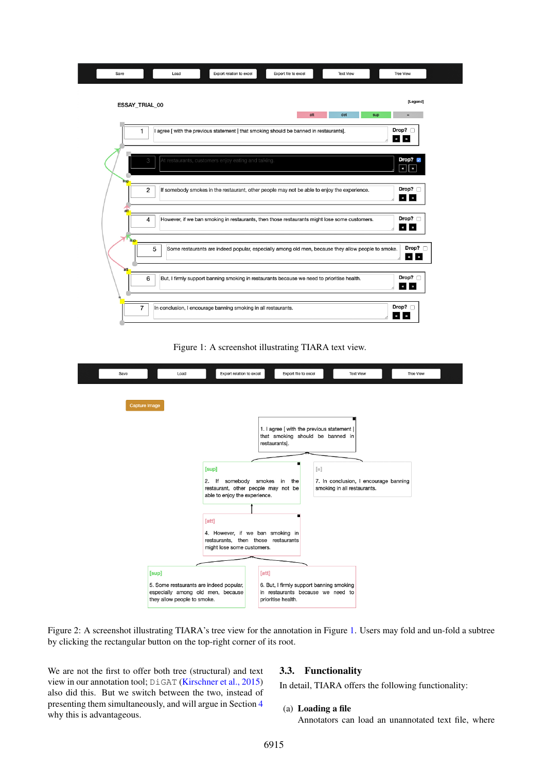

<span id="page-3-0"></span>Figure 1: A screenshot illustrating TIARA text view.



Figure 2: A screenshot illustrating TIARA's tree view for the annotation in Figure [1.](#page-3-0) Users may fold and un-fold a subtree by clicking the rectangular button on the top-right corner of its root.

We are not the first to offer both tree (structural) and text view in our annotation tool; DiGAT [\(Kirschner et al., 2015\)](#page-7-11) also did this. But we switch between the two, instead of presenting them simultaneously, and will argue in Section [4](#page-4-0) why this is advantageous.

# <span id="page-3-1"></span>3.3. Functionality

In detail, TIARA offers the following functionality:

#### (a) Loading a file

Annotators can load an unannotated text file, where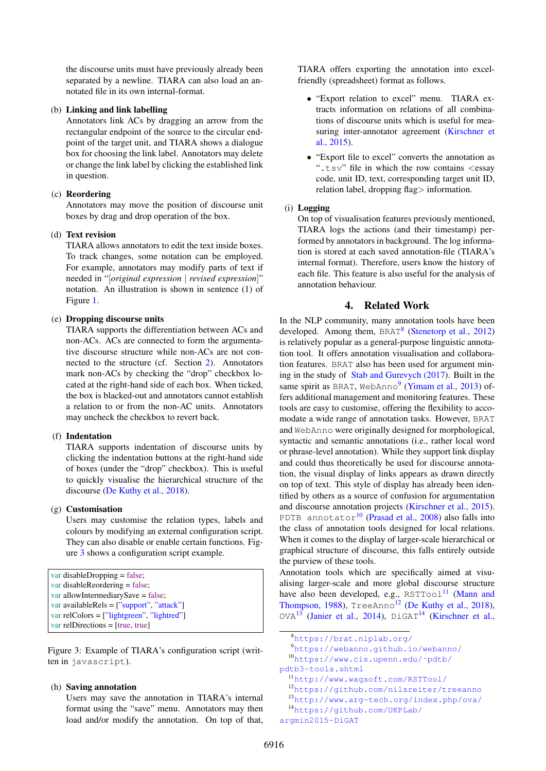the discourse units must have previously already been separated by a newline. TIARA can also load an annotated file in its own internal-format.

#### (b) Linking and link labelling

Annotators link ACs by dragging an arrow from the rectangular endpoint of the source to the circular endpoint of the target unit, and TIARA shows a dialogue box for choosing the link label. Annotators may delete or change the link label by clicking the established link in question.

# (c) Reordering

Annotators may move the position of discourse unit boxes by drag and drop operation of the box.

# (d) Text revision

TIARA allows annotators to edit the text inside boxes. To track changes, some notation can be employed. For example, annotators may modify parts of text if needed in "[*original expression* | *revised expression*]" notation. An illustration is shown in sentence (1) of Figure [1.](#page-3-0)

# (e) Dropping discourse units

TIARA supports the differentiation between ACs and non-ACs. ACs are connected to form the argumentative discourse structure while non-ACs are not connected to the structure (cf. Section [2\)](#page-1-4). Annotators mark non-ACs by checking the "drop" checkbox located at the right-hand side of each box. When ticked, the box is blacked-out and annotators cannot establish a relation to or from the non-AC units. Annotators may uncheck the checkbox to revert back.

#### (f) Indentation

TIARA supports indentation of discourse units by clicking the indentation buttons at the right-hand side of boxes (under the "drop" checkbox). This is useful to quickly visualise the hierarchical structure of the discourse [\(De Kuthy et al., 2018\)](#page-7-20).

#### (g) Customisation

Users may customise the relation types, labels and colours by modifying an external configuration script. They can also disable or enable certain functions. Figure [3](#page-4-1) shows a configuration script example.

```
var disableDropping = false;
var disableReordering = false;
var allowIntermediarySave = false;
var availableRels = ["support", "attack"]
var relColors = ["lightgreen", "lightred"]
var relDirections = [true, true]
```
<span id="page-4-1"></span>Figure 3: Example of TIARA's configuration script (written in javascript).

#### (h) Saving annotation

Users may save the annotation in TIARA's internal format using the "save" menu. Annotators may then load and/or modify the annotation. On top of that, TIARA offers exporting the annotation into excelfriendly (spreadsheet) format as follows.

- "Export relation to excel" menu. TIARA extracts information on relations of all combinations of discourse units which is useful for measuring inter-annotator agreement [\(Kirschner et](#page-7-11) [al., 2015\)](#page-7-11).
- "Export file to excel" converts the annotation as ".tsv" file in which the row contains  $\langle$ essay code, unit ID, text, corresponding target unit ID, relation label, dropping flag> information.

## (i) Logging

On top of visualisation features previously mentioned, TIARA logs the actions (and their timestamp) performed by annotators in background. The log information is stored at each saved annotation-file (TIARA's internal format). Therefore, users know the history of each file. This feature is also useful for the analysis of annotation behaviour.

# 4. Related Work

<span id="page-4-0"></span>In the NLP community, many annotation tools have been developed. Among them, BRAT<sup>[8](#page-4-2)</sup> [\(Stenetorp et al., 2012\)](#page-8-6) is relatively popular as a general-purpose linguistic annotation tool. It offers annotation visualisation and collaboration features. BRAT also has been used for argument mining in the study of [Stab and Gurevych \(2017\)](#page-8-4). Built in the same spirit as BRAT, WebAnno<sup>[9](#page-4-3)</sup> [\(Yimam et al., 2013\)](#page-8-8) offers additional management and monitoring features. These tools are easy to customise, offering the flexibility to accomodate a wide range of annotation tasks. However, BRAT and WebAnno were originally designed for morphological, syntactic and semantic annotations (i.e., rather local word or phrase-level annotation). While they support link display and could thus theoretically be used for discourse annotation, the visual display of links appears as drawn directly on top of text. This style of display has already been identified by others as a source of confusion for argumentation and discourse annotation projects [\(Kirschner et al., 2015\)](#page-7-11). PDTB annotator<sup>[10](#page-4-4)</sup> [\(Prasad et al., 2008\)](#page-8-9) also falls into the class of annotation tools designed for local relations. When it comes to the display of larger-scale hierarchical or graphical structure of discourse, this falls entirely outside the purview of these tools.

Annotation tools which are specifically aimed at visualising larger-scale and more global discourse structure have also been developed, e.g.,  $RSTTOO1<sup>11</sup>$  $RSTTOO1<sup>11</sup>$  $RSTTOO1<sup>11</sup>$  [\(Mann and](#page-7-4) [Thompson, 1988\)](#page-7-4), TreeAnno<sup>[12](#page-4-6)</sup> [\(De Kuthy et al., 2018\)](#page-7-20), OVA<sup>[13](#page-4-7)</sup> [\(Janier et al., 2014\)](#page-7-21), DiGAT<sup>[14](#page-4-8)</sup> [\(Kirschner et al.,](#page-7-11)

<span id="page-4-2"></span><sup>8</sup>[https://brat.nlplab.org/](#page-7-11)

<span id="page-4-4"></span><span id="page-4-3"></span><sup>9</sup>[https://webanno.github.io/webanno/](#page-7-11)

<sup>10</sup>[https://www.cis.upenn.edu/˜pdtb/](#page-7-11) [pdtb3-tools.shtml](#page-7-11)

<span id="page-4-5"></span><sup>11</sup>[http://www.wagsoft.com/RSTTool/](#page-7-11)

<span id="page-4-6"></span><sup>12</sup>[https://github.com/nilsreiter/treeanno](#page-7-11)

<span id="page-4-7"></span><sup>13</sup>[http://www.arg-tech.org/index.php/ova/](#page-7-11)

<span id="page-4-8"></span><sup>14</sup>[https://github.com/UKPLab/](#page-7-11)

[argmin2015-DiGAT](#page-7-11)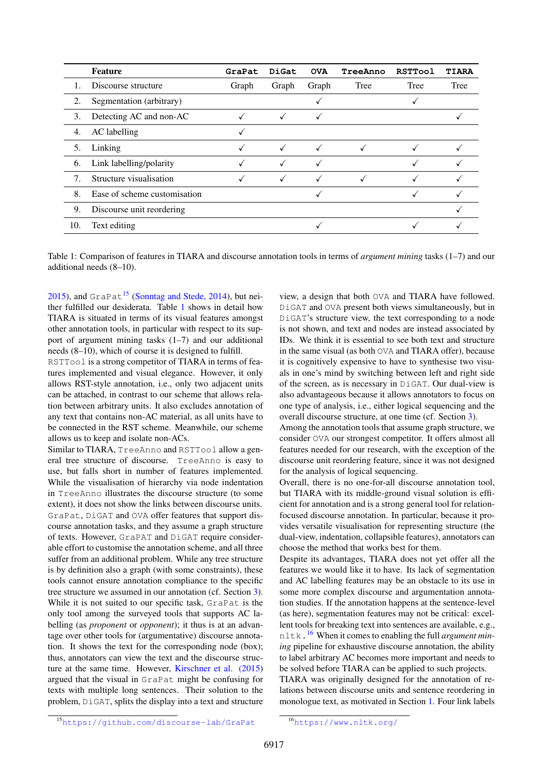|     | Feature                      | GraPat | DiGat        | <b>OVA</b>   | TreeAnno     | <b>RSTTool</b> | <b>TIARA</b> |
|-----|------------------------------|--------|--------------|--------------|--------------|----------------|--------------|
|     | Discourse structure          | Graph  | Graph        | Graph        | Tree         | Tree           | Tree         |
| 2.  | Segmentation (arbitrary)     |        |              |              |              |                |              |
| 3.  | Detecting AC and non-AC      |        |              |              |              |                |              |
| 4.  | AC labelling                 |        |              |              |              |                |              |
| 5.  | Linking                      |        | $\checkmark$ | $\checkmark$ |              |                |              |
| 6.  | Link labelling/polarity      |        | √            | √            |              |                |              |
| 7.  | Structure visualisation      |        | $\checkmark$ | $\checkmark$ | $\checkmark$ |                |              |
| 8.  | Ease of scheme customisation |        |              |              |              |                |              |
| 9.  | Discourse unit reordering    |        |              |              |              |                |              |
| 10. | Text editing                 |        |              |              |              |                |              |

<span id="page-5-1"></span>Table 1: [C](#page-7-11)omparison of features in TIARA and discourse annotation tools in terms of *argument mining* tasks (1–7) and our additional needs (8–10).

[2015\)](#page-7-11), and  $GraPat^{15}$  $GraPat^{15}$  $GraPat^{15}$  [\(Sonntag and Stede, 2014\)](#page-8-7), but neither fulfilled our desiderata. Table [1](#page-5-1) shows in detail how TIARA is situated in terms of its visual features amongst other annotation tools, in particular with respect to its support of argument mining tasks (1–7) and our additional needs (8–10), which of course it is designed to fulfill.

RSTTool is a strong competitor of TIARA in terms of features implemented and visual elegance. However, it only allows RST-style annotation, i.e., only two adjacent units can be attached, in contrast to our scheme that allows relation between arbitrary units. It also excludes annotation of any text that contains non-AC material, as all units have to be connected in the RST scheme. Meanwhile, our scheme allows us to keep and isolate non-ACs.

Similar to TIARA, TreeAnno and RSTTool allow a general tree structure of discourse. TreeAnno is easy to use, but falls short in number of features implemented. While the visualisation of hierarchy via node indentation in TreeAnno illustrates the discourse structure (to some extent), it does not show the links between discourse units. GraPat, DiGAT and OVA offer features that support discourse annotation tasks, and they assume a graph structure of texts. However, GraPAT and DiGAT require considerable effort to customise the annotation scheme, and all three suffer from an additional problem. While any tree structure is by definition also a graph (with some constraints), these tools cannot ensure annotation compliance to the specific tree structure we assumed in our annotation (cf. Section [3\)](#page-1-5). While it is not suited to our specific task, GraPat is the only tool among the surveyed tools that supports AC labelling (as *proponent* or *opponent*); it thus is at an advantage over other tools for (argumentative) discourse annotation. It shows the text for the corresponding node (box); thus, annotators can view the text and the discourse structure at the same time. However, [Kirschner et al. \(2015\)](#page-7-11) argued that the visual in GraPat might be confusing for texts with multiple long sentences. Their solution to the problem, DiGAT, splits the display into a text and structure

view, a design that both OVA and TIARA have followed. DiGAT and OVA present both views simultaneously, but in DiGAT's structure view, the text corresponding to a node is not shown, and text and nodes are instead associated by IDs. We think it is essential to see both text and structure in the same visual (as both OVA and TIARA offer), because it is cognitively expensive to have to synthesise two visuals in one's mind by switching between left and right side of the screen, as is necessary in DiGAT. Our dual-view is also advantageous because it allows annotators to focus on one type of analysis, i.e., either logical sequencing and the overall discourse structure, at one time (cf. Section [3\)](#page-2-3).

Among the annotation tools that assume graph structure, we consider OVA our strongest competitor. It offers almost all features needed for our research, with the exception of the discourse unit reordering feature, since it was not designed for the analysis of logical sequencing.

Overall, there is no one-for-all discourse annotation tool, but TIARA with its middle-ground visual solution is efficient for annotation and is a strong general tool for relationfocused discourse annotation. In particular, because it provides versatile visualisation for representing structure (the dual-view, indentation, collapsible features), annotators can choose the method that works best for them.

Despite its advantages, TIARA does not yet offer all the features we would like it to have. Its lack of segmentation and AC labelling features may be an obstacle to its use in some more complex discourse and argumentation annotation studies. If the annotation happens at the sentence-level (as here), segmentation features may not be critical: excellent tools for breaking text into sentences are available, e.g., nltk.[16](#page-5-2) When it comes to enabling the full *argument mining* pipeline for exhaustive discourse annotation, the ability to label arbitrary AC becomes more important and needs to be solved before TIARA can be applied to such projects.

<span id="page-5-0"></span>TIARA was originally designed for the annotation of relations between discourse units and sentence reordering in monologue text, as motivated in Section [1.](#page-0-2) Four link labels

<span id="page-5-2"></span><sup>16</sup><https://www.nltk.org/>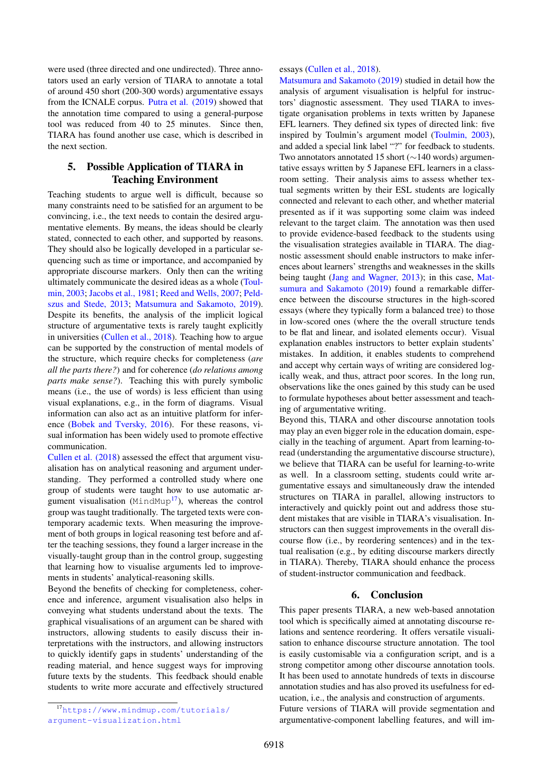were used (three directed and one undirected). Three annotators used an early version of TIARA to annotate a total of around 450 short (200-300 words) argumentative essays from the ICNALE corpus. [Putra et al. \(2019\)](#page-8-1) showed that the annotation time compared to using a general-purpose tool was reduced from 40 to 25 minutes. Since then, TIARA has found another use case, which is described in the next section.

# <span id="page-6-0"></span>5. Possible Application of TIARA in Teaching Environment

Teaching students to argue well is difficult, because so many constraints need to be satisfied for an argument to be convincing, i.e., the text needs to contain the desired argumentative elements. By means, the ideas should be clearly stated, connected to each other, and supported by reasons. They should also be logically developed in a particular sequencing such as time or importance, and accompanied by appropriate discourse markers. Only then can the writing ultimately communicate the desired ideas as a whole [\(Toul](#page-8-10)[min, 2003;](#page-8-10) [Jacobs et al., 1981;](#page-7-2) [Reed and Wells, 2007;](#page-8-11) [Peld](#page-7-22)[szus and Stede, 2013;](#page-7-22) [Matsumura and Sakamoto, 2019\)](#page-7-9). Despite its benefits, the analysis of the implicit logical structure of argumentative texts is rarely taught explicitly in universities [\(Cullen et al., 2018\)](#page-7-8). Teaching how to argue can be supported by the construction of mental models of the structure, which require checks for completeness (*are all the parts there?*) and for coherence (*do relations among parts make sense?*). Teaching this with purely symbolic means (i.e., the use of words) is less efficient than using visual explanations, e.g., in the form of diagrams. Visual information can also act as an intuitive platform for inference [\(Bobek and Tversky, 2016\)](#page-7-23). For these reasons, visual information has been widely used to promote effective communication.

[Cullen et al. \(2018\)](#page-7-8) assessed the effect that argument visualisation has on analytical reasoning and argument understanding. They performed a controlled study where one group of students were taught how to use automatic argument visualisation ( $MindMup<sup>17</sup>$  $MindMup<sup>17</sup>$  $MindMup<sup>17</sup>$ ), whereas the control group was taught traditionally. The targeted texts were contemporary academic texts. When measuring the improvement of both groups in logical reasoning test before and after the teaching sessions, they found a larger increase in the visually-taught group than in the control group, suggesting that learning how to visualise arguments led to improvements in students' analytical-reasoning skills.

Beyond the benefits of checking for completeness, coherence and inference, argument visualisation also helps in conveying what students understand about the texts. The graphical visualisations of an argument can be shared with instructors, allowing students to easily discuss their interpretations with the instructors, and allowing instructors to quickly identify gaps in students' understanding of the reading material, and hence suggest ways for improving future texts by the students. This feedback should enable students to write more accurate and effectively structured

essays [\(Cullen et al., 2018\)](#page-7-8).

[Matsumura and Sakamoto \(2019\)](#page-7-9) studied in detail how the analysis of argument visualisation is helpful for instructors' diagnostic assessment. They used TIARA to investigate organisation problems in texts written by Japanese EFL learners. They defined six types of directed link: five inspired by Toulmin's argument model [\(Toulmin, 2003\)](#page-8-10), and added a special link label "?" for feedback to students. Two annotators annotated 15 short (∼140 words) argumentative essays written by 5 Japanese EFL learners in a classroom setting. Their analysis aims to assess whether textual segments written by their ESL students are logically connected and relevant to each other, and whether material presented as if it was supporting some claim was indeed relevant to the target claim. The annotation was then used to provide evidence-based feedback to the students using the visualisation strategies available in TIARA. The diagnostic assessment should enable instructors to make inferences about learners' strengths and weaknesses in the skills being taught [\(Jang and Wagner, 2013\)](#page-7-24); in this case, [Mat](#page-7-9)[sumura and Sakamoto \(2019\)](#page-7-9) found a remarkable difference between the discourse structures in the high-scored essays (where they typically form a balanced tree) to those in low-scored ones (where the the overall structure tends to be flat and linear, and isolated elements occur). Visual explanation enables instructors to better explain students' mistakes. In addition, it enables students to comprehend and accept why certain ways of writing are considered logically weak, and thus, attract poor scores. In the long run, observations like the ones gained by this study can be used to formulate hypotheses about better assessment and teaching of argumentative writing.

Beyond this, TIARA and other discourse annotation tools may play an even bigger role in the education domain, especially in the teaching of argument. Apart from learning-toread (understanding the argumentative discourse structure), we believe that TIARA can be useful for learning-to-write as well. In a classroom setting, students could write argumentative essays and simultaneously draw the intended structures on TIARA in parallel, allowing instructors to interactively and quickly point out and address those student mistakes that are visible in TIARA's visualisation. Instructors can then suggest improvements in the overall discourse flow (i.e., by reordering sentences) and in the textual realisation (e.g., by editing discourse markers directly in TIARA). Thereby, TIARA should enhance the process of student-instructor communication and feedback.

# 6. Conclusion

<span id="page-6-1"></span>This paper presents TIARA, a new web-based annotation tool which is specifically aimed at annotating discourse relations and sentence reordering. It offers versatile visualisation to enhance discourse structure annotation. The tool is easily customisable via a configuration script, and is a strong competitor among other discourse annotation tools. It has been used to annotate hundreds of texts in discourse annotation studies and has also proved its usefulness for education, i.e., the analysis and construction of arguments. Future versions of TIARA will provide segmentation and argumentative-component labelling features, and will im-

<span id="page-6-2"></span><sup>17</sup>[https://www.mindmup.com/tutorials/](https://www.mindmup.com/tutorials/argument-visualization.html) [argument-visualization.html](https://www.mindmup.com/tutorials/argument-visualization.html)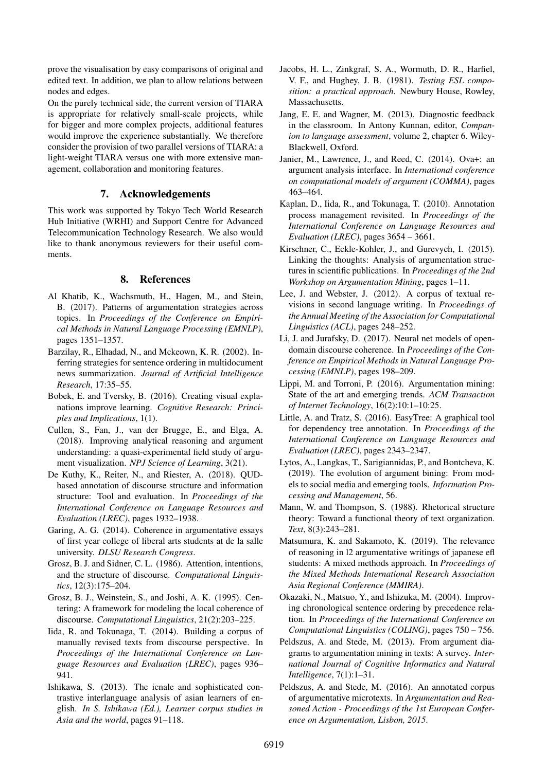prove the visualisation by easy comparisons of original and edited text. In addition, we plan to allow relations between nodes and edges.

On the purely technical side, the current version of TIARA is appropriate for relatively small-scale projects, while for bigger and more complex projects, additional features would improve the experience substantially. We therefore consider the provision of two parallel versions of TIARA: a light-weight TIARA versus one with more extensive management, collaboration and monitoring features.

# 7. Acknowledgements

This work was supported by Tokyo Tech World Research Hub Initiative (WRHI) and Support Centre for Advanced Telecommunication Technology Research. We also would like to thank anonymous reviewers for their useful comments.

# 8. References

- <span id="page-7-6"></span>Al Khatib, K., Wachsmuth, H., Hagen, M., and Stein, B. (2017). Patterns of argumentation strategies across topics. In *Proceedings of the Conference on Empirical Methods in Natural Language Processing (EMNLP)*, pages 1351–1357.
- <span id="page-7-14"></span>Barzilay, R., Elhadad, N., and Mckeown, K. R. (2002). Inferring strategies for sentence ordering in multidocument news summarization. *Journal of Artificial Intelligence Research*, 17:35–55.
- <span id="page-7-23"></span>Bobek, E. and Tversky, B. (2016). Creating visual explanations improve learning. *Cognitive Research: Principles and Implications*, 1(1).
- <span id="page-7-8"></span>Cullen, S., Fan, J., van der Brugge, E., and Elga, A. (2018). Improving analytical reasoning and argument understanding: a quasi-experimental field study of argument visualization. *NPJ Science of Learning*, 3(21).
- <span id="page-7-20"></span>De Kuthy, K., Reiter, N., and Riester, A. (2018). QUDbased annotation of discourse structure and information structure: Tool and evaluation. In *Proceedings of the International Conference on Language Resources and Evaluation (LREC)*, pages 1932–1938.
- <span id="page-7-5"></span>Garing, A. G. (2014). Coherence in argumentative essays of first year college of liberal arts students at de la salle university. *DLSU Research Congress*.
- <span id="page-7-0"></span>Grosz, B. J. and Sidner, C. L. (1986). Attention, intentions, and the structure of discourse. *Computational Linguistics*, 12(3):175–204.
- <span id="page-7-3"></span>Grosz, B. J., Weinstein, S., and Joshi, A. K. (1995). Centering: A framework for modeling the local coherence of discourse. *Computational Linguistics*, 21(2):203–225.
- <span id="page-7-7"></span>Iida, R. and Tokunaga, T. (2014). Building a corpus of manually revised texts from discourse perspective. In *Proceedings of the International Conference on Language Resources and Evaluation (LREC)*, pages 936– 941.
- <span id="page-7-18"></span>Ishikawa, S. (2013). The icnale and sophisticated contrastive interlanguage analysis of asian learners of english. *In S. Ishikawa (Ed.), Learner corpus studies in Asia and the world*, pages 91–118.
- <span id="page-7-2"></span>Jacobs, H. L., Zinkgraf, S. A., Wormuth, D. R., Harfiel, V. F., and Hughey, J. B. (1981). *Testing ESL composition: a practical approach*. Newbury House, Rowley, Massachusetts.
- <span id="page-7-24"></span>Jang, E. E. and Wagner, M. (2013). Diagnostic feedback in the classroom. In Antony Kunnan, editor, *Companion to language assessment*, volume 2, chapter 6. Wiley-Blackwell, Oxford.
- <span id="page-7-21"></span>Janier, M., Lawrence, J., and Reed, C. (2014). Ova+: an argument analysis interface. In *International conference on computational models of argument (COMMA)*, pages 463–464.
- <span id="page-7-17"></span>Kaplan, D., Iida, R., and Tokunaga, T. (2010). Annotation process management revisited. In *Proceedings of the International Conference on Language Resources and Evaluation (LREC)*, pages 3654 – 3661.
- <span id="page-7-11"></span>Kirschner, C., Eckle-Kohler, J., and Gurevych, I. (2015). Linking the thoughts: Analysis of argumentation structures in scientific publications. In *Proceedings of the 2nd Workshop on Argumentation Mining*, pages 1–11.
- <span id="page-7-1"></span>Lee, J. and Webster, J. (2012). A corpus of textual revisions in second language writing. In *Proceedings of the Annual Meeting of the Association for Computational Linguistics (ACL)*, pages 248–252.
- <span id="page-7-16"></span>Li, J. and Jurafsky, D. (2017). Neural net models of opendomain discourse coherence. In *Proceedings of the Conference on Empirical Methods in Natural Language Processing (EMNLP)*, pages 198–209.
- <span id="page-7-10"></span>Lippi, M. and Torroni, P. (2016). Argumentation mining: State of the art and emerging trends. *ACM Transaction of Internet Technology*, 16(2):10:1–10:25.
- <span id="page-7-19"></span>Little, A. and Tratz, S. (2016). EasyTree: A graphical tool for dependency tree annotation. In *Proceedings of the International Conference on Language Resources and Evaluation (LREC)*, pages 2343–2347.
- <span id="page-7-12"></span>Lytos, A., Langkas, T., Sarigiannidas, P., and Bontcheva, K. (2019). The evolution of argument bining: From models to social media and emerging tools. *Information Processing and Management*, 56.
- <span id="page-7-4"></span>Mann, W. and Thompson, S. (1988). Rhetorical structure theory: Toward a functional theory of text organization. *Text*, 8(3):243–281.
- <span id="page-7-9"></span>Matsumura, K. and Sakamoto, K. (2019). The relevance of reasoning in l2 argumentative writings of japanese efl students: A mixed methods approach. In *Proceedings of the Mixed Methods International Research Association Asia Regional Conference (MMIRA)*.
- <span id="page-7-15"></span>Okazaki, N., Matsuo, Y., and Ishizuka, M. (2004). Improving chronological sentence ordering by precedence relation. In *Proceedings of the International Conference on Computational Linguistics (COLING)*, pages 750 – 756.
- <span id="page-7-22"></span>Peldszus, A. and Stede, M. (2013). From argument diagrams to argumentation mining in texts: A survey. *International Journal of Cognitive Informatics and Natural Intelligence*, 7(1):1–31.
- <span id="page-7-13"></span>Peldszus, A. and Stede, M. (2016). An annotated corpus of argumentative microtexts. In *Argumentation and Reasoned Action - Proceedings of the 1st European Conference on Argumentation, Lisbon, 2015*.